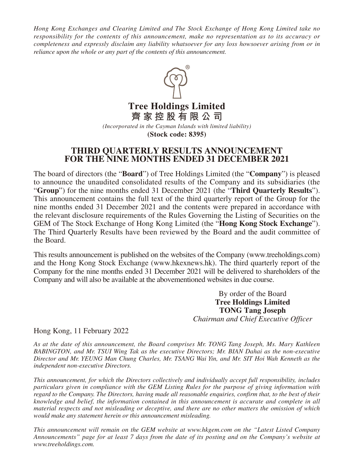*Hong Kong Exchanges and Clearing Limited and The Stock Exchange of Hong Kong Limited take no responsibility for the contents of this announcement, make no representation as to its accuracy or completeness and expressly disclaim any liability whatsoever for any loss howsoever arising from or in reliance upon the whole or any part of the contents of this announcement.*



**Tree Holdings Limited 齊家控股有限公司**

*(Incorporated in the Cayman Islands with limited liability)* **(Stock code: 8395)**

# **THIRD QUARTERLY RESULTS ANNOUNCEMENT FOR THE NINE MONTHS ENDED 31 DECEMBER 2021**

The board of directors (the "**Board**") of Tree Holdings Limited (the "**Company**") is pleased to announce the unaudited consolidated results of the Company and its subsidiaries (the "**Group**") for the nine months ended 31 December 2021 (the "**Third Quarterly Results**"). This announcement contains the full text of the third quarterly report of the Group for the nine months ended 31 December 2021 and the contents were prepared in accordance with the relevant disclosure requirements of the Rules Governing the Listing of Securities on the GEM of The Stock Exchange of Hong Kong Limited (the "**Hong Kong Stock Exchange**"). The Third Quarterly Results have been reviewed by the Board and the audit committee of the Board.

This results announcement is published on the websites of the Company (www.treeholdings.com) and the Hong Kong Stock Exchange (www.hkexnews.hk). The third quarterly report of the Company for the nine months ended 31 December 2021 will be delivered to shareholders of the Company and will also be available at the abovementioned websites in due course.

> By order of the Board **Tree Holdings Limited TONG Tang Joseph** *Chairman and Chief Executive Officer*

Hong Kong, 11 February 2022

*As at the date of this announcement, the Board comprises Mr. TONG Tang Joseph, Ms. Mary Kathleen BABINGTON, and Mr. TSUI Wing Tak as the executive Directors; Mr. BIAN Dahai as the non-executive Director and Mr. YEUNG Man Chung Charles, Mr. TSANG Wai Yin, and Mr. SIT Hoi Wah Kenneth as the independent non-executive Directors.*

*This announcement, for which the Directors collectively and individually accept full responsibility, includes particulars given in compliance with the GEM Listing Rules for the purpose of giving information with regard to the Company. The Directors, having made all reasonable enquiries, confirm that, to the best of their knowledge and belief, the information contained in this announcement is accurate and complete in all material respects and not misleading or deceptive, and there are no other matters the omission of which would make any statement herein or this announcement misleading.*

*This announcement will remain on the GEM website at www.hkgem.com on the "Latest Listed Company Announcements" page for at least 7 days from the date of its posting and on the Company's website at www.treeholdings.com.*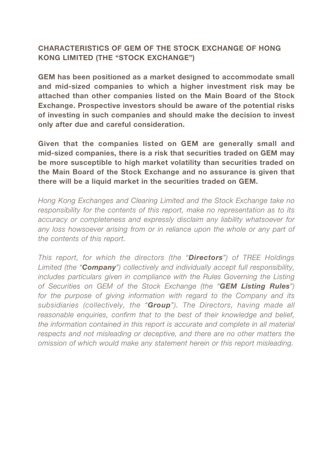# CHARACTERISTICS OF GEM OF THE STOCK EXCHANGE OF HONG KONG LIMITED (THE "STOCK EXCHANGE")

GEM has been positioned as a market designed to accommodate small and mid-sized companies to which a higher investment risk may be attached than other companies listed on the Main Board of the Stock Exchange. Prospective investors should be aware of the potential risks of investing in such companies and should make the decision to invest only after due and careful consideration.

Given that the companies listed on GEM are generally small and mid-sized companies, there is a risk that securities traded on GEM may be more susceptible to high market volatility than securities traded on the Main Board of the Stock Exchange and no assurance is given that there will be a liquid market in the securities traded on GEM.

*Hong Kong Exchanges and Clearing Limited and the Stock Exchange take no responsibility for the contents of this report, make no representation as to its accuracy or completeness and expressly disclaim any liability whatsoever for*  any loss howsoever arising from or in reliance upon the whole or any part of *the contents of this report.*

*This report, for which the directors (the "Directors") of TREE Holdings Limited (the "Company") collectively and individually accept full responsibility, includes particulars given in compliance with the Rules Governing the Listing of Securities on GEM of the Stock Exchange (the "GEM Listing Rules") for the purpose of giving information with regard to the Company and its subsidiaries (collectively, the "Group"). The Directors, having made all*  reasonable enquiries, confirm that to the best of their knowledge and belief, *the information contained in this report is accurate and complete in all material respects and not misleading or deceptive, and there are no other matters the omission of which would make any statement herein or this report misleading.*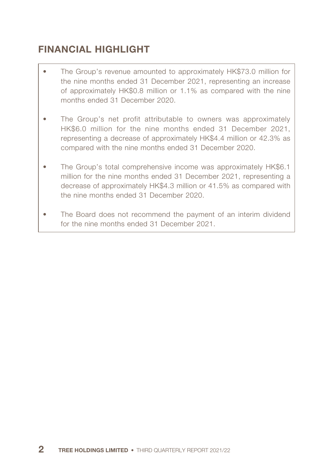# FINANCIAL HIGHLIGHT

- The Group's revenue amounted to approximately HK\$73.0 million for the nine months ended 31 December 2021, representing an increase of approximately HK\$0.8 million or 1.1% as compared with the nine months ended 31 December 2020.
- The Group's net profit attributable to owners was approximately HK\$6.0 million for the nine months ended 31 December 2021, representing a decrease of approximately HK\$4.4 million or 42.3% as compared with the nine months ended 31 December 2020.
- The Group's total comprehensive income was approximately HK\$6.1 million for the nine months ended 31 December 2021, representing a decrease of approximately HK\$4.3 million or 41.5% as compared with the nine months ended 31 December 2020.
- The Board does not recommend the payment of an interim dividend for the nine months ended 31 December 2021.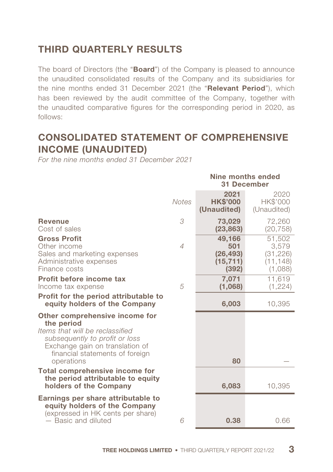# THIRD QUARTERLY RESULTS

The board of Directors (the "**Board**") of the Company is pleased to announce the unaudited consolidated results of the Company and its subsidiaries for the nine months ended 31 December 2021 (the "Relevant Period"), which has been reviewed by the audit committee of the Company, together with the unaudited comparative figures for the corresponding period in 2020, as follows:

# CONSOLIDATED STATEMENT OF COMPREHENSIVE INCOME (UNAUDITED)

*For the nine months ended 31 December 2021*

|                                                                                                                                                                                                       |                | Nine months ended<br><b>31 December</b>          |                                                      |
|-------------------------------------------------------------------------------------------------------------------------------------------------------------------------------------------------------|----------------|--------------------------------------------------|------------------------------------------------------|
|                                                                                                                                                                                                       | <b>Notes</b>   | 2021<br><b>HK\$'000</b><br>(Unaudited)           | 2020<br>HK\$'000<br>(Unaudited)                      |
| <b>Revenue</b><br>Cost of sales                                                                                                                                                                       | 3              | 73,029<br>(23, 863)                              | 72,260<br>(20, 758)                                  |
| <b>Gross Profit</b><br>Other income<br>Sales and marketing expenses<br>Administrative expenses<br>Finance costs                                                                                       | $\overline{4}$ | 49,166<br>501<br>(26, 493)<br>(15, 711)<br>(392) | 51,502<br>3,579<br>(31, 226)<br>(11, 148)<br>(1,088) |
| Profit before income tax<br>Income tax expense                                                                                                                                                        | 5              | 7,071<br>(1,068)                                 | 11,619<br>(1,224)                                    |
| Profit for the period attributable to<br>equity holders of the Company                                                                                                                                |                | 6,003                                            | 10,395                                               |
| Other comprehensive income for<br>the period<br>Items that will be reclassified<br>subsequently to profit or loss<br>Exchange gain on translation of<br>financial statements of foreign<br>operations |                | 80                                               |                                                      |
| <b>Total comprehensive income for</b><br>the period attributable to equity<br>holders of the Company                                                                                                  |                | 6,083                                            | 10,395                                               |
| Earnings per share attributable to<br>equity holders of the Company<br>(expressed in HK cents per share)<br>- Basic and diluted                                                                       | 6              | 0.38                                             | 0.66                                                 |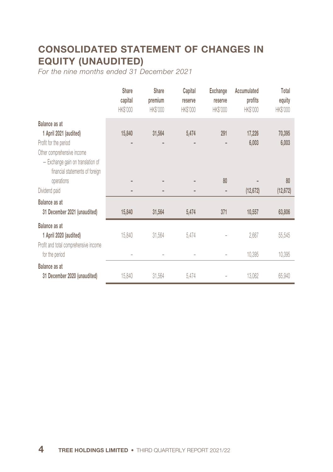# CONSOLIDATED STATEMENT OF CHANGES IN EQUITY (UNAUDITED)

*For the nine months ended 31 December 2021*

|                                                                                                                                                                        | <b>Share</b><br>capital<br><b>HK\$'000</b> | Share<br>premium<br><b>HK\$'000</b> | Capital<br>reserve<br>HK\$'000 | <b>Exchange</b><br>reserve<br><b>HK\$'000</b> | Accumulated<br>profits<br>HK\$'000 | Total<br>equity<br><b>HK\$'000</b> |
|------------------------------------------------------------------------------------------------------------------------------------------------------------------------|--------------------------------------------|-------------------------------------|--------------------------------|-----------------------------------------------|------------------------------------|------------------------------------|
| Balance as at<br>1 April 2021 (audited)<br>Profit for the period<br>Other comprehensive income<br>- Exchange gain on translation of<br>financial statements of foreign | 15,840                                     | 31,564                              | 5,474                          | 291                                           | 17,226<br>6,003                    | 70,395<br>6,003                    |
| operations                                                                                                                                                             | ۰                                          |                                     |                                | 80                                            |                                    | 80                                 |
| Dividend paid                                                                                                                                                          |                                            |                                     |                                |                                               | (12, 672)                          | (12, 672)                          |
| Balance as at<br>31 December 2021 (unaudited)                                                                                                                          | 15,840                                     | 31,564                              | 5,474                          | 371                                           | 10,557                             | 63,806                             |
| Balance as at<br>1 April 2020 (audited)<br>Profit and total comprehensive income                                                                                       | 15,840                                     | 31,564                              | 5,474                          |                                               | 2,667                              | 55,545                             |
| for the period                                                                                                                                                         |                                            |                                     |                                |                                               | 10,395                             | 10,395                             |
| Balance as at<br>31 December 2020 (unaudited)                                                                                                                          | 15,840                                     | 31,564                              | 5,474                          |                                               | 13,062                             | 65,940                             |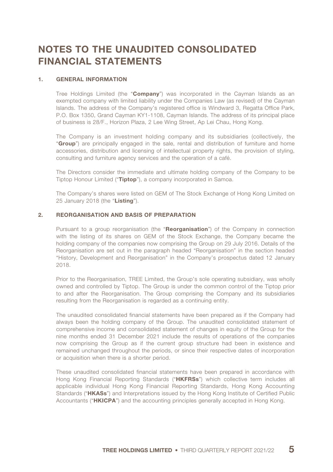# NOTES TO THE UNAUDITED CONSOLIDATED FINANCIAL STATEMENTS

#### 1. GENERAL INFORMATION

Tree Holdings Limited (the "Company") was incorporated in the Cayman Islands as an exempted company with limited liability under the Companies Law (as revised) of the Cayman Islands. The address of the Company's registered office is Windward 3, Regatta Office Park, P.O. Box 1350, Grand Cayman KY1-1108, Cayman Islands. The address of its principal place of business is 28/F., Horizon Plaza, 2 Lee Wing Street, Ap Lei Chau, Hong Kong.

The Company is an investment holding company and its subsidiaries (collectively, the "Group") are principally engaged in the sale, rental and distribution of furniture and home accessories, distribution and licensing of intellectual property rights, the provision of styling, consulting and furniture agency services and the operation of a café.

The Directors consider the immediate and ultimate holding company of the Company to be Tiptop Honour Limited ("Tiptop"), a company incorporated in Samoa.

The Company's shares were listed on GEM of The Stock Exchange of Hong Kong Limited on 25 January 2018 (the "Listing").

#### 2. REORGANISATION AND BASIS OF PREPARATION

Pursuant to a group reorganisation (the "Reorganisation") of the Company in connection with the listing of its shares on GEM of the Stock Exchange, the Company became the holding company of the companies now comprising the Group on 29 July 2016. Details of the Reorganisation are set out in the paragraph headed "Reorganisation" in the section headed "History, Development and Reorganisation" in the Company's prospectus dated 12 January 2018.

Prior to the Reorganisation, TREE Limited, the Group's sole operating subsidiary, was wholly owned and controlled by Tiptop. The Group is under the common control of the Tiptop prior to and after the Reorganisation. The Group comprising the Company and its subsidiaries resulting from the Reorganisation is regarded as a continuing entity.

The unaudited consolidated financial statements have been prepared as if the Company had always been the holding company of the Group. The unaudited consolidated statement of comprehensive income and consolidated statement of changes in equity of the Group for the nine months ended 31 December 2021 include the results of operations of the companies now comprising the Group as if the current group structure had been in existence and remained unchanged throughout the periods, or since their respective dates of incorporation or acquisition when there is a shorter period.

These unaudited consolidated financial statements have been prepared in accordance with Hong Kong Financial Reporting Standards ("HKFRSs") which collective term includes all applicable individual Hong Kong Financial Reporting Standards, Hong Kong Accounting Standards ("HKASs") and Interpretations issued by the Hong Kong Institute of Certified Public Accountants ("HKICPA") and the accounting principles generally accepted in Hong Kong.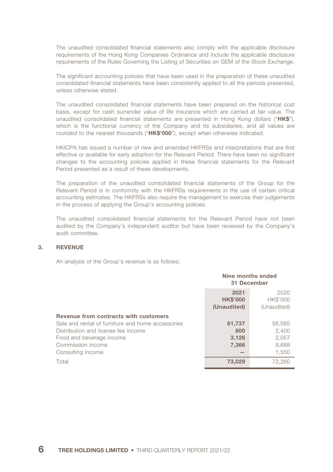The unaudited consolidated financial statements also comply with the applicable disclosure requirements of the Hong Kong Companies Ordinance and include the applicable disclosure requirements of the Rules Governing the Listing of Securities on GEM of the Stock Exchange.

The significant accounting policies that have been used in the preparation of these unaudited consolidated financial statements have been consistently applied to all the periods presented, unless otherwise stated.

The unaudited consolidated financial statements have been prepared on the historical cost basis, except for cash surrender value of life insurance which are carried at fair value. The unaudited consolidated financial statements are presented in Hong Kong dollars ("HK\$"). which is the functional currency of the Company and its subsidiaries, and all values are rounded to the nearest thousands ("HK\$'000"), except when otherwise indicated.

HKICPA has issued a number of new and amended HKFRSs and interpretations that are first effective or available for early adoption for the Relevant Period. There have been no significant changes to the accounting policies applied in these financial statements for the Relevant Period presented as a result of these developments.

The preparation of the unaudited consolidated financial statements of the Group for the Relevant Period is in conformity with the HKFRSs requirements in the use of certain critical accounting estimates. The HKFRSs also require the management to exercise their judgements in the process of applying the Group's accounting policies.

The unaudited consolidated financial statements for the Relevant Period have not been audited by the Company's independent auditor but have been reviewed by the Company's audit committee.

#### 3. REVENUE

An analysis of the Group's revenue is as follows:

|                                                   | Nine months ended<br>31 December       |                                 |
|---------------------------------------------------|----------------------------------------|---------------------------------|
|                                                   | 2021<br><b>HK\$'000</b><br>(Unaudited) | 2020<br>HK\$'000<br>(Unaudited) |
| Revenue from contracts with customers             |                                        |                                 |
| Sale and rental of furniture and home accessories | 61,737                                 | 56.565                          |
| Distribution and license fee income               | 800                                    | 2,400                           |
| Food and beverage income                          | 3,126<br>2.057                         |                                 |
| Commission income                                 | 7,366                                  | 9.688                           |
| Consulting income                                 |                                        | 1,550                           |
| Total                                             | 73,029                                 | 72.260                          |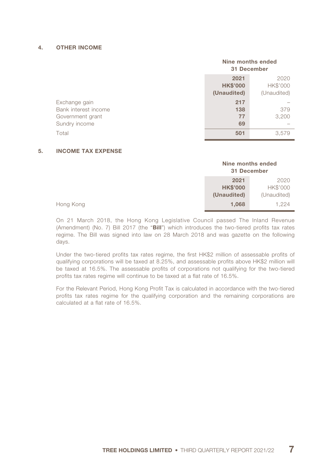#### 4. OTHER INCOME

|                      | Nine months ended<br>31 December                                          |       |
|----------------------|---------------------------------------------------------------------------|-------|
|                      | 2021<br>2020<br>HK\$'000<br><b>HK\$'000</b><br>(Unaudited)<br>(Unaudited) |       |
| Exchange gain        | 217                                                                       |       |
| Bank interest income | 138                                                                       | 379   |
| Government grant     | 77                                                                        | 3,200 |
| Sundry income        | 69                                                                        |       |
| Total                | 501                                                                       | 3.579 |

#### 5. INCOME TAX EXPENSE

|                 | Nine months ended<br>31 December |  |
|-----------------|----------------------------------|--|
| 2020            | 2021                             |  |
| <b>HK\$'000</b> | <b>HK\$'000</b>                  |  |
| (Unaudited)     | (Unaudited)                      |  |
| 1.224           | 1.068                            |  |

On 21 March 2018, the Hong Kong Legislative Council passed The Inland Revenue (Amendment) (No. 7) Bill 2017 (the "Bill") which introduces the two-tiered profits tax rates regime. The Bill was signed into law on 28 March 2018 and was gazette on the following days.

Under the two-tiered profits tax rates regime, the first HK\$2 million of assessable profits of qualifying corporations will be taxed at 8.25%, and assessable profits above HK\$2 million will be taxed at 16.5%. The assessable profits of corporations not qualifying for the two-tiered profits tax rates regime will continue to be taxed at a flat rate of 16.5%.

For the Relevant Period, Hong Kong Profit Tax is calculated in accordance with the two-tiered profits tax rates regime for the qualifying corporation and the remaining corporations are calculated at a flat rate of 16.5%.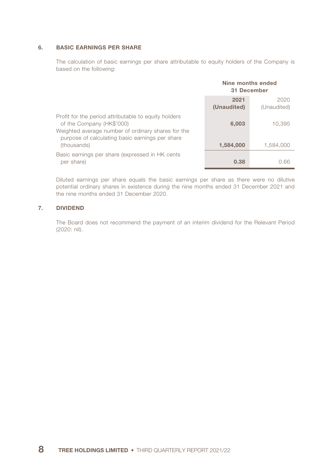#### 6. BASIC EARNINGS PER SHARE

The calculation of basic earnings per share attributable to equity holders of the Company is based on the following:

|                                                                                                                                                                                            | Nine months ended<br>31 December |                     |
|--------------------------------------------------------------------------------------------------------------------------------------------------------------------------------------------|----------------------------------|---------------------|
|                                                                                                                                                                                            | 2021<br>(Unaudited)              | 2020<br>(Unaudited) |
| Profit for the period attributable to equity holders<br>of the Company (HK\$'000)<br>Weighted average number of ordinary shares for the<br>purpose of calculating basic earnings per share | 6,003                            | 10.395              |
| (thousands)                                                                                                                                                                                | 1,584,000                        | 1.584.000           |
| Basic earnings per share (expressed in HK cents<br>per share)                                                                                                                              | 0.38                             | 0.66                |

Diluted earnings per share equals the basic earnings per share as there were no dilutive potential ordinary shares in existence during the nine months ended 31 December 2021 and the nine months ended 31 December 2020.

#### 7. DIVIDEND

The Board does not recommend the payment of an interim dividend for the Relevant Period (2020: nil).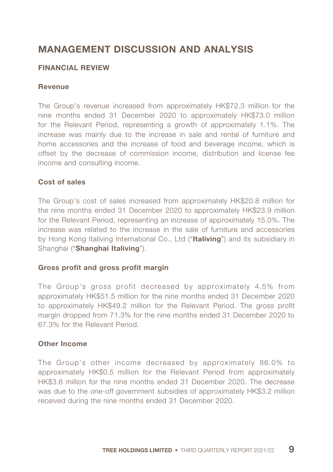# MANAGEMENT DISCUSSION AND ANALYSIS

## FINANCIAL REVIEW

#### Revenue

The Group's revenue increased from approximately HK\$72.3 million for the nine months ended 31 December 2020 to approximately HK\$73.0 million for the Relevant Period, representing a growth of approximately 1.1%. The increase was mainly due to the increase in sale and rental of furniture and home accessories and the increase of food and beverage income, which is offset by the decrease of commission income, distribution and license fee income and consulting income.

### Cost of sales

The Group's cost of sales increased from approximately HK\$20.8 million for the nine months ended 31 December 2020 to approximately HK\$23.9 million for the Relevant Period, representing an increase of approximately 15.0%. The increase was related to the increase in the sale of furniture and accessories by Hong Kong Italiving International Co., Ltd ("Italiving") and its subsidiary in Shanghai ("Shanghai Italiving").

#### Gross profit and gross profit margin

The Group's gross profit decreased by approximately 4.5% from approximately HK\$51.5 million for the nine months ended 31 December 2020 to approximately HK\$49.2 million for the Relevant Period. The gross profit margin dropped from 71.3% for the nine months ended 31 December 2020 to 67.3% for the Relevant Period.

#### Other Income

The Group's other income decreased by approximately 86.0% to approximately HK\$0.5 million for the Relevant Period from approximately HK\$3.6 million for the nine months ended 31 December 2020. The decrease was due to the one-off government subsidies of approximately HK\$3.2 million received during the nine months ended 31 December 2020.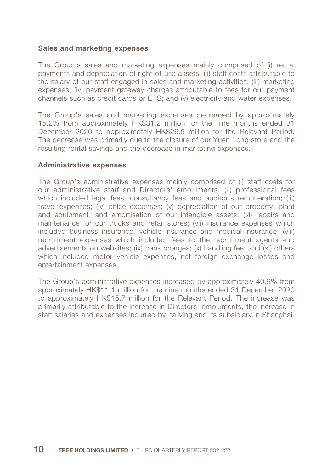#### Sales and marketing expenses

The Group's sales and marketing expenses mainly comprised of (i) rental payments and depreciation of right-of-use assets; (ii) staff costs attributable to the salary of our staff engaged in sales and marketing activities; (iii) marketing expenses; (iv) payment gateway charges attributable to fees for our payment channels such as credit cards or EPS; and (v) electricity and water expenses.

The Group's sales and marketing expenses decreased by approximately 15.2% from approximately HK\$31.2 million for the nine months ended 31 December 2020 to approximately HK\$26.5 million for the Relevant Period. The decrease was primarily due to the closure of our Yuen Long store and the resulting rental savings and the decrease in marketing expenses.

#### Administrative expenses

The Group's administrative expenses mainly comprised of (i) staff costs for our administrative staff and Directors' emoluments; (ii) professional fees which included legal fees, consultancy fees and auditor's remuneration; (iii) travel expenses; (iv) office expenses; (v) depreciation of our property, plant and equipment, and amortisation of our intangible assets; (vi) repairs and maintenance for our trucks and retail stores; (vii) insurance expenses which included business insurance, vehicle insurance and medical insurance; (viii) recruitment expenses which included fees to the recruitment agents and advertisements on websites; (ix) bank charges; (x) handling fee; and (xi) others which included motor vehicle expenses, net foreign exchange losses and entertainment expenses.

The Group's administrative expenses increased by approximately 40.9% from approximately HK\$11.1 million for the nine months ended 31 December 2020 to approximately HK\$15.7 million for the Relevant Period. The increase was primarily attributable to the increase in Directors' emoluments, the increase in staff salaries and expenses incurred by Italiving and its subsidiary in Shanghai.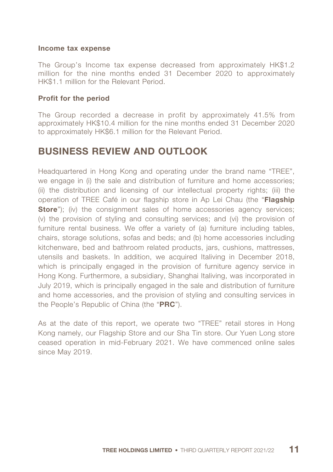#### Income tax expense

The Group's Income tax expense decreased from approximately HK\$1.2 million for the nine months ended 31 December 2020 to approximately HK\$1.1 million for the Relevant Period.

#### Profit for the period

The Group recorded a decrease in profit by approximately 41.5% from approximately HK\$10.4 million for the nine months ended 31 December 2020 to approximately HK\$6.1 million for the Relevant Period.

# BUSINESS REVIEW AND OUTLOOK

Headquartered in Hong Kong and operating under the brand name "TREE", we engage in (i) the sale and distribution of furniture and home accessories; (ii) the distribution and licensing of our intellectual property rights; (iii) the operation of TREE Café in our flagship store in Ap Lei Chau (the "Flagship **Store**"); (iv) the consignment sales of home accessories agency services; (v) the provision of styling and consulting services; and (vi) the provision of furniture rental business. We offer a variety of (a) furniture including tables, chairs, storage solutions, sofas and beds; and (b) home accessories including kitchenware, bed and bathroom related products, jars, cushions, mattresses, utensils and baskets. In addition, we acquired Italiving in December 2018, which is principally engaged in the provision of furniture agency service in Hong Kong. Furthermore, a subsidiary, Shanghai Italiving, was incorporated in July 2019, which is principally engaged in the sale and distribution of furniture and home accessories, and the provision of styling and consulting services in the People's Republic of China (the "PRC").

As at the date of this report, we operate two "TREE" retail stores in Hong Kong namely, our Flagship Store and our Sha Tin store. Our Yuen Long store ceased operation in mid-February 2021. We have commenced online sales since May 2019.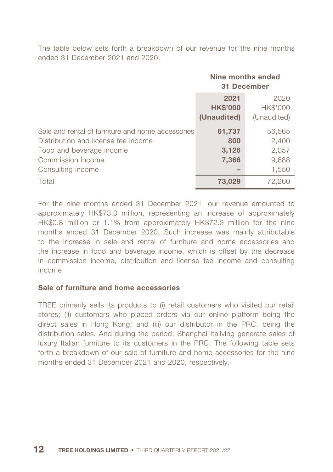The table below sets forth a breakdown of our revenue for the nine months ended 31 December 2021 and 2020:

|                                                                                                                                                                | Nine months ended<br>31 December       |                                            |
|----------------------------------------------------------------------------------------------------------------------------------------------------------------|----------------------------------------|--------------------------------------------|
|                                                                                                                                                                | 2021<br><b>HK\$'000</b><br>(Unaudited) | 2020<br>HK\$'000<br>(Unaudited)            |
| Sale and rental of furniture and home accessories<br>Distribution and license fee income<br>Food and beverage income<br>Commission income<br>Consulting income | 61,737<br>800<br>3,126<br>7,366        | 56,565<br>2,400<br>2,057<br>9,688<br>1,550 |
| Total                                                                                                                                                          | 73,029                                 | 72,260                                     |

For the nine months ended 31 December 2021, our revenue amounted to approximately HK\$73.0 million, representing an increase of approximately HK\$0.8 million or 1.1% from approximately HK\$72.3 million for the nine months ended 31 December 2020. Such increase was mainly attributable to the increase in sale and rental of furniture and home accessories and the increase in food and beverage income, which is offset by the decrease in commission income, distribution and license fee income and consulting income.

### Sale of furniture and home accessories

TREE primarily sells its products to (i) retail customers who visited our retail stores; (ii) customers who placed orders via our online platform being the direct sales in Hong Kong; and (iii) our distributor in the PRC, being the distribution sales. And during the period, Shanghai Italiving generate sales of luxury Italian furniture to its customers in the PRC. The following table sets forth a breakdown of our sale of furniture and home accessories for the nine months ended 31 December 2021 and 2020, respectively.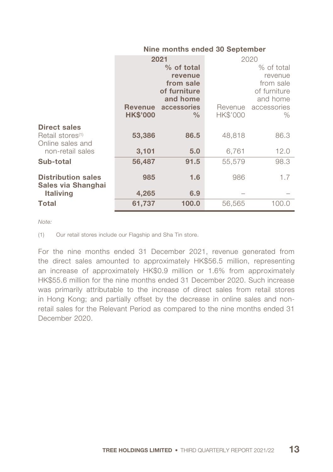#### Nine months ended 30 September

|                              | 2021            |               |                 | 2020          |
|------------------------------|-----------------|---------------|-----------------|---------------|
|                              |                 | $%$ of total  |                 | % of total    |
|                              |                 | revenue       |                 | revenue       |
|                              |                 | from sale     |                 | from sale     |
|                              |                 | of furniture  |                 | of furniture  |
|                              |                 | and home      |                 | and home      |
|                              | <b>Revenue</b>  | accessories   | Revenue         | accessories   |
|                              | <b>HK\$'000</b> | $\frac{0}{0}$ | <b>HK\$'000</b> | $\frac{0}{0}$ |
| <b>Direct sales</b>          |                 |               |                 |               |
| Retail stores <sup>(1)</sup> | 53,386          | 86.5          | 48,818          | 86.3          |
| Online sales and             |                 |               |                 |               |
| non-retail sales             | 3,101           | 5.0           | 6,761           | 12.0          |
|                              |                 |               |                 |               |
| Sub-total                    | 56,487          | 91.5          | 55,579          | 98.3          |
|                              |                 |               |                 |               |
| <b>Distribution sales</b>    | 985             | 1.6           | 986             | 1.7           |
| Sales via Shanghai           |                 |               |                 |               |
| <b>Italiving</b>             | 4,265           | 6.9           |                 |               |
| Total                        | 61,737          | 100.0         | 56,565          | 100.0         |

*Note:*

(1) Our retail stores include our Flagship and Sha Tin store.

For the nine months ended 31 December 2021, revenue generated from the direct sales amounted to approximately HK\$56.5 million, representing an increase of approximately HK\$0.9 million or 1.6% from approximately HK\$55.6 million for the nine months ended 31 December 2020. Such increase was primarily attributable to the increase of direct sales from retail stores in Hong Kong; and partially offset by the decrease in online sales and nonretail sales for the Relevant Period as compared to the nine months ended 31 December 2020.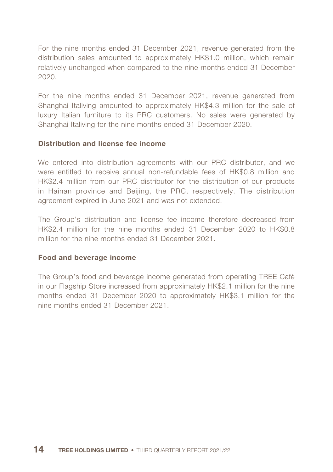For the nine months ended 31 December 2021, revenue generated from the distribution sales amounted to approximately HK\$1.0 million, which remain relatively unchanged when compared to the nine months ended 31 December 2020.

For the nine months ended 31 December 2021, revenue generated from Shanghai Italiving amounted to approximately HK\$4.3 million for the sale of luxury Italian furniture to its PRC customers. No sales were generated by Shanghai Italiving for the nine months ended 31 December 2020.

### Distribution and license fee income

We entered into distribution agreements with our PRC distributor, and we were entitled to receive annual non-refundable fees of HK\$0.8 million and HK\$2.4 million from our PRC distributor for the distribution of our products in Hainan province and Beijing, the PRC, respectively. The distribution agreement expired in June 2021 and was not extended.

The Group's distribution and license fee income therefore decreased from HK\$2.4 million for the nine months ended 31 December 2020 to HK\$0.8 million for the nine months ended 31 December 2021.

### Food and beverage income

The Group's food and beverage income generated from operating TREE Café in our Flagship Store increased from approximately HK\$2.1 million for the nine months ended 31 December 2020 to approximately HK\$3.1 million for the nine months ended 31 December 2021.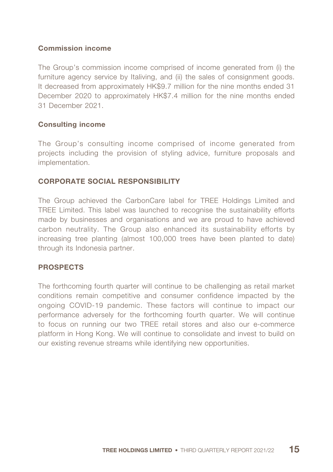### Commission income

The Group's commission income comprised of income generated from (i) the furniture agency service by Italiving, and (ii) the sales of consignment goods. It decreased from approximately HK\$9.7 million for the nine months ended 31 December 2020 to approximately HK\$7.4 million for the nine months ended 31 December 2021.

### Consulting income

The Group's consulting income comprised of income generated from projects including the provision of styling advice, furniture proposals and implementation.

## CORPORATE SOCIAL RESPONSIBILITY

The Group achieved the CarbonCare label for TREE Holdings Limited and TREE Limited. This label was launched to recognise the sustainability efforts made by businesses and organisations and we are proud to have achieved carbon neutrality. The Group also enhanced its sustainability efforts by increasing tree planting (almost 100,000 trees have been planted to date) through its Indonesia partner.

## PROSPECTS

The forthcoming fourth quarter will continue to be challenging as retail market conditions remain competitive and consumer confidence impacted by the ongoing COVID-19 pandemic. These factors will continue to impact our performance adversely for the forthcoming fourth quarter. We will continue to focus on running our two TREE retail stores and also our e-commerce platform in Hong Kong. We will continue to consolidate and invest to build on our existing revenue streams while identifying new opportunities.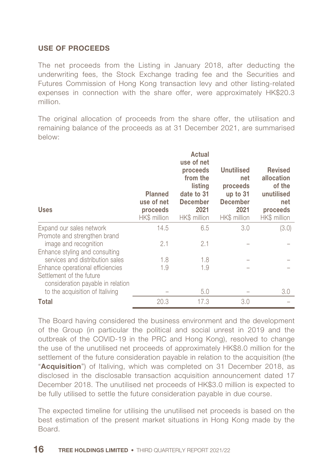## USE OF PROCEEDS

The net proceeds from the Listing in January 2018, after deducting the underwriting fees, the Stock Exchange trading fee and the Securities and Futures Commission of Hong Kong transaction levy and other listing-related expenses in connection with the share offer, were approximately HK\$20.3 million.

The original allocation of proceeds from the share offer, the utilisation and remaining balance of the proceeds as at 31 December 2021, are summarised below:

| <b>Uses</b>                                                   | <b>Planned</b><br>use of net<br>proceeds<br>HK\$ million | Actual<br>use of net<br>proceeds<br>from the<br>listing<br>date to 31<br><b>December</b><br>2021<br>HK\$ million | Unutilised<br>net<br>proceeds<br>up to $31$<br><b>December</b><br>2021<br>HK\$ million | <b>Revised</b><br>allocation<br>of the<br>unutilised<br>net<br>proceeds<br>HK\$ million |
|---------------------------------------------------------------|----------------------------------------------------------|------------------------------------------------------------------------------------------------------------------|----------------------------------------------------------------------------------------|-----------------------------------------------------------------------------------------|
| Expand our sales network                                      | 14.5                                                     | 6.5                                                                                                              | 3.0                                                                                    | (3.0)                                                                                   |
| Promote and strengthen brand                                  |                                                          |                                                                                                                  |                                                                                        |                                                                                         |
| image and recognition                                         | 2.1                                                      | 2.1                                                                                                              |                                                                                        |                                                                                         |
| Enhance styling and consulting                                |                                                          |                                                                                                                  |                                                                                        |                                                                                         |
| services and distribution sales                               | 1.8                                                      | 1.8                                                                                                              |                                                                                        |                                                                                         |
| Enhance operational efficiencies                              | 1.9                                                      | 1.9                                                                                                              |                                                                                        |                                                                                         |
| Settlement of the future<br>consideration payable in relation |                                                          |                                                                                                                  |                                                                                        |                                                                                         |
| to the acquisition of Italiving                               |                                                          | 5.0                                                                                                              |                                                                                        | 3.0                                                                                     |
| Total                                                         | 20.3                                                     | 17.3                                                                                                             | 3.0                                                                                    |                                                                                         |

The Board having considered the business environment and the development of the Group (in particular the political and social unrest in 2019 and the outbreak of the COVID-19 in the PRC and Hong Kong), resolved to change the use of the unutilised net proceeds of approximately HK\$8.0 million for the settlement of the future consideration payable in relation to the acquisition (the "**Acquisition**") of Italiving, which was completed on 31 December 2018, as disclosed in the disclosable transaction acquisition announcement dated 17 December 2018. The unutilised net proceeds of HK\$3.0 million is expected to be fully utilised to settle the future consideration payable in due course.

The expected timeline for utilising the unutilised net proceeds is based on the best estimation of the present market situations in Hong Kong made by the Board.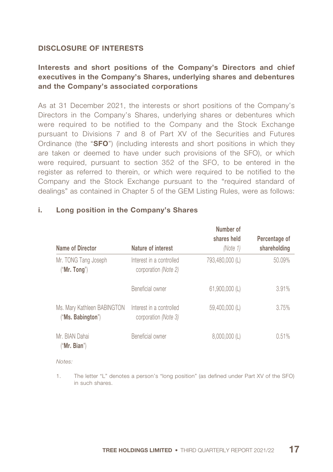### DISCLOSURE OF INTERESTS

# Interests and short positions of the Company's Directors and chief executives in the Company's Shares, underlying shares and debentures and the Company's associated corporations

As at 31 December 2021, the interests or short positions of the Company's Directors in the Company's Shares, underlying shares or debentures which were required to be notified to the Company and the Stock Exchange pursuant to Divisions 7 and 8 of Part XV of the Securities and Futures Ordinance (the "SFO") (including interests and short positions in which they are taken or deemed to have under such provisions of the SFO), or which were required, pursuant to section 352 of the SFO, to be entered in the register as referred to therein, or which were required to be notified to the Company and the Stock Exchange pursuant to the "required standard of dealings" as contained in Chapter 5 of the GEM Listing Rules, were as follows:

|                                                  |                                                  | Number of       |               |
|--------------------------------------------------|--------------------------------------------------|-----------------|---------------|
|                                                  |                                                  | shares held     | Percentage of |
| Name of Director                                 | Nature of interest                               | (Note 1)        | shareholding  |
| Mr. TONG Tang Joseph<br>("Mr. Tong")             | Interest in a controlled<br>corporation (Note 2) | 793,480,000 (L) | 50.09%        |
|                                                  | Beneficial owner                                 | 61.900.000 (L)  | 3.91%         |
| Ms. Mary Kathleen BABINGTON<br>("Ms. Babington") | Interest in a controlled<br>corporation (Note 3) | 59,400,000 (L)  | 3.75%         |
| Mr. BIAN Dahai<br>("Mr.~Bian")                   | Beneficial owner                                 | $8,000,000$ (L) | 0.51%         |

### i. Long position in the Company's Shares

*Notes:*

1. The letter "L" denotes a person's "long position" (as defined under Part XV of the SFO) in such shares.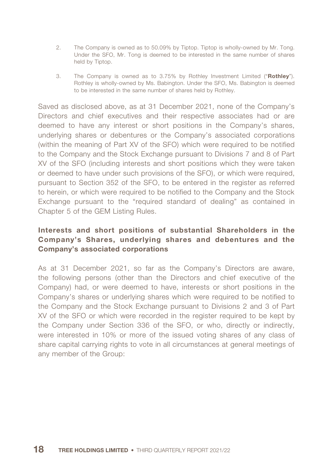- 2. The Company is owned as to 50.09% by Tiptop. Tiptop is wholly-owned by Mr. Tong. Under the SFO, Mr. Tong is deemed to be interested in the same number of shares held by Tiptop.
- 3. The Company is owned as to 3.75% by Rothley Investment Limited ("Rothley"). Rothley is wholly-owned by Ms. Babington. Under the SFO, Ms. Babington is deemed to be interested in the same number of shares held by Rothley.

Saved as disclosed above, as at 31 December 2021, none of the Company's Directors and chief executives and their respective associates had or are deemed to have any interest or short positions in the Company's shares, underlying shares or debentures or the Company's associated corporations (within the meaning of Part XV of the SFO) which were required to be notified to the Company and the Stock Exchange pursuant to Divisions 7 and 8 of Part XV of the SFO (including interests and short positions which they were taken or deemed to have under such provisions of the SFO), or which were required, pursuant to Section 352 of the SFO, to be entered in the register as referred to herein, or which were required to be notified to the Company and the Stock Exchange pursuant to the "required standard of dealing" as contained in Chapter 5 of the GEM Listing Rules.

# Interests and short positions of substantial Shareholders in the Company's Shares, underlying shares and debentures and the Company's associated corporations

As at 31 December 2021, so far as the Company's Directors are aware, the following persons (other than the Directors and chief executive of the Company) had, or were deemed to have, interests or short positions in the Company's shares or underlying shares which were required to be notified to the Company and the Stock Exchange pursuant to Divisions 2 and 3 of Part XV of the SFO or which were recorded in the register required to be kept by the Company under Section 336 of the SFO, or who, directly or indirectly, were interested in 10% or more of the issued voting shares of any class of share capital carrying rights to vote in all circumstances at general meetings of any member of the Group: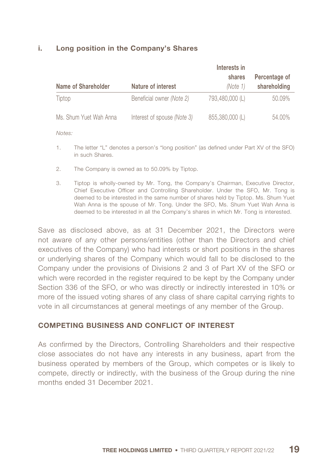### i. Long position in the Company's Shares

| Name of Shareholder    | Nature of interest                 | Interests in<br>shares<br>(Note 1) | Percentage of<br>shareholding |
|------------------------|------------------------------------|------------------------------------|-------------------------------|
| Tiptop                 | Beneficial owner (Note 2)          | 793,480,000 (L)                    | 50.09%                        |
| Ms. Shum Yuet Wah Anna | Interest of spouse <i>(Note 3)</i> | 855,380,000 (L)                    | 54.00%                        |

*Notes:*

- 1. The letter "L" denotes a person's "long position" (as defined under Part XV of the SFO) in such Shares.
- 2. The Company is owned as to 50.09% by Tiptop.
- 3. Tiptop is wholly-owned by Mr. Tong, the Company's Chairman, Executive Director, Chief Executive Officer and Controlling Shareholder. Under the SFO, Mr. Tong is deemed to be interested in the same number of shares held by Tiptop. Ms. Shum Yuet Wah Anna is the spouse of Mr. Tong. Under the SFO, Ms. Shum Yuet Wah Anna is deemed to be interested in all the Company's shares in which Mr. Tong is interested.

Save as disclosed above, as at 31 December 2021, the Directors were not aware of any other persons/entities (other than the Directors and chief executives of the Company) who had interests or short positions in the shares or underlying shares of the Company which would fall to be disclosed to the Company under the provisions of Divisions 2 and 3 of Part XV of the SFO or which were recorded in the register required to be kept by the Company under Section 336 of the SFO, or who was directly or indirectly interested in 10% or more of the issued voting shares of any class of share capital carrying rights to vote in all circumstances at general meetings of any member of the Group.

## COMPETING BUSINESS AND CONFLICT OF INTEREST

As confirmed by the Directors, Controlling Shareholders and their respective close associates do not have any interests in any business, apart from the business operated by members of the Group, which competes or is likely to compete, directly or indirectly, with the business of the Group during the nine months ended 31 December 2021.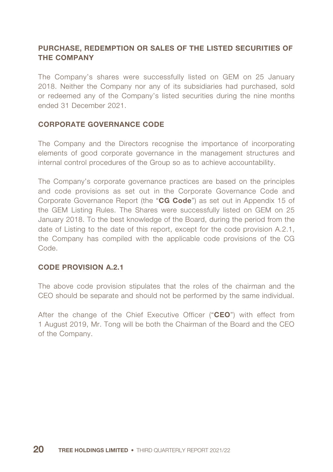# PURCHASE, REDEMPTION OR SALES OF THE LISTED SECURITIES OF THE COMPANY

The Company's shares were successfully listed on GEM on 25 January 2018. Neither the Company nor any of its subsidiaries had purchased, sold or redeemed any of the Company's listed securities during the nine months ended 31 December 2021.

### CORPORATE GOVERNANCE CODE

The Company and the Directors recognise the importance of incorporating elements of good corporate governance in the management structures and internal control procedures of the Group so as to achieve accountability.

The Company's corporate governance practices are based on the principles and code provisions as set out in the Corporate Governance Code and Corporate Governance Report (the "CG Code") as set out in Appendix 15 of the GEM Listing Rules. The Shares were successfully listed on GEM on 25 January 2018. To the best knowledge of the Board, during the period from the date of Listing to the date of this report, except for the code provision A.2.1, the Company has compiled with the applicable code provisions of the CG Code.

### CODE PROVISION A.2.1

The above code provision stipulates that the roles of the chairman and the CEO should be separate and should not be performed by the same individual.

After the change of the Chief Executive Officer ("CEO") with effect from 1 August 2019, Mr. Tong will be both the Chairman of the Board and the CEO of the Company.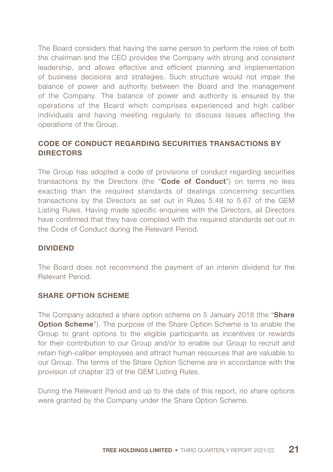The Board considers that having the same person to perform the roles of both the chairman and the CEO provides the Company with strong and consistent leadership, and allows effective and efficient planning and implementation of business decisions and strategies. Such structure would not impair the balance of power and authority between the Board and the management of the Company. The balance of power and authority is ensured by the operations of the Board which comprises experienced and high caliber individuals and having meeting regularly to discuss issues affecting the operations of the Group.

# CODE OF CONDUCT REGARDING SECURITIES TRANSACTIONS BY **DIRECTORS**

The Group has adopted a code of provisions of conduct regarding securities transactions by the Directors (the "Code of Conduct") on terms no less exacting than the required standards of dealings concerning securities transactions by the Directors as set out in Rules 5.48 to 5.67 of the GEM Listing Rules. Having made specific enquiries with the Directors, all Directors have confirmed that they have complied with the required standards set out in the Code of Conduct during the Relevant Period.

### DIVIDEND

The Board does not recommend the payment of an interim dividend for the Relevant Period.

## SHARE OPTION SCHEME

The Company adopted a share option scheme on 5 January 2018 (the "Share" **Option Scheme**"). The purpose of the Share Option Scheme is to enable the Group to grant options to the eligible participants as incentives or rewards for their contribution to our Group and/or to enable our Group to recruit and retain high-caliber employees and attract human resources that are valuable to our Group. The terms of the Share Option Scheme are in accordance with the provision of chapter 23 of the GEM Listing Rules.

During the Relevant Period and up to the date of this report, no share options were granted by the Company under the Share Option Scheme.